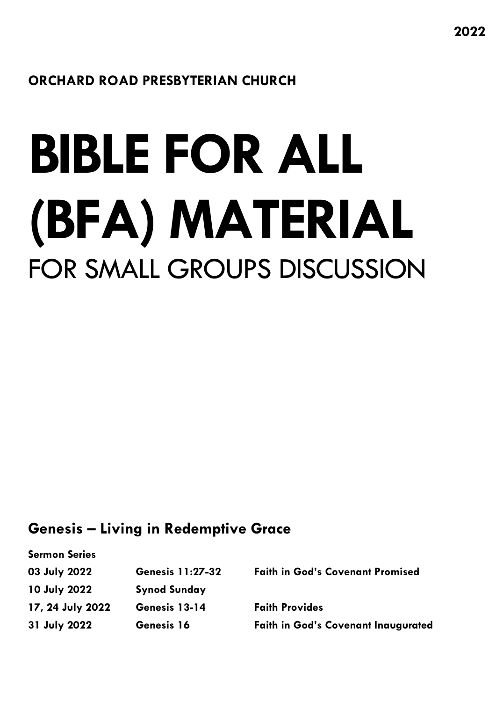# **ORCHARD ROAD PRESBYTERIAN CHURCH**

# **BIBLE FOR ALL (BFA) MATERIAL**  FOR SMALL GROUPS DISCUSSION

# **Genesis – Living in Redemptive Grace**

**Sermon Series**

| 03 July 2022     | <b>Genesis 11:27-32</b> | <b>Faith in God's Covenant Promised</b>    |
|------------------|-------------------------|--------------------------------------------|
| 10 July 2022     | <b>Synod Sunday</b>     |                                            |
| 17, 24 July 2022 | Genesis 13-14           | <b>Faith Provides</b>                      |
| 31 July 2022     | Genesis 16              | <b>Faith in God's Covenant Inaugurated</b> |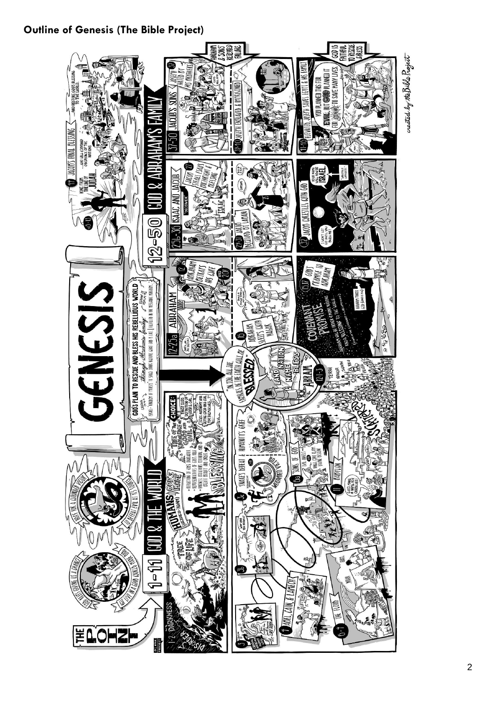## **Outline of Genesis (The Bible Project)**

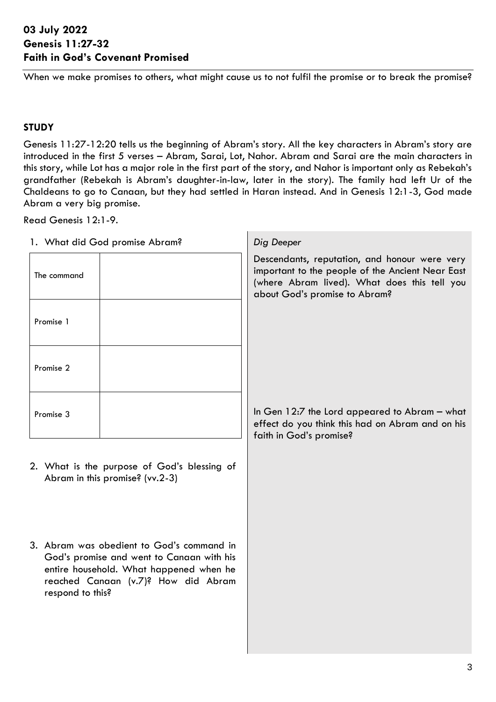### <span id="page-2-0"></span>**03 July 2022 Genesis 11:27-32 Faith in God's Covenant Promised**

When we make promises to others, what might cause us to not fulfil the promise or to break the promise?

#### **STUDY**

Genesis 11:27-12:20 tells us the beginning of Abram's story. All the key characters in Abram's story are introduced in the first 5 verses – Abram, Sarai, Lot, Nahor. Abram and Sarai are the main characters in this story, while Lot has a major role in the first part of the story, and Nahor is important only as Rebekah's grandfather (Rebekah is Abram's daughter-in-law, later in the story). The family had left Ur of the Chaldeans to go to Canaan, but they had settled in Haran instead. And in Genesis 12:1-3, God made Abram a very big promise.

Г

Read Genesis 12:1-9.

| 1. What did God promise Abram?                                                 | Dig Deeper                                                                                                                                                                         |
|--------------------------------------------------------------------------------|------------------------------------------------------------------------------------------------------------------------------------------------------------------------------------|
| The command                                                                    | Descendants, reputation, and honour were very<br>important to the people of the Ancient Near East<br>(where Abram lived). What does this tell you<br>about God's promise to Abram? |
| Promise 1                                                                      |                                                                                                                                                                                    |
| Promise 2                                                                      |                                                                                                                                                                                    |
| Promise 3                                                                      | In Gen 12:7 the Lord appeared to Abram - what<br>effect do you think this had on Abram and on his<br>faith in God's promise?                                                       |
| 2. What is the purpose of God's blessing of<br>Abram in this promise? (vv.2-3) |                                                                                                                                                                                    |
|                                                                                |                                                                                                                                                                                    |

3. Abram was obedient to God's command in God's promise and went to Canaan with his entire household. What happened when he reached Canaan (v.7)? How did Abram respond to this?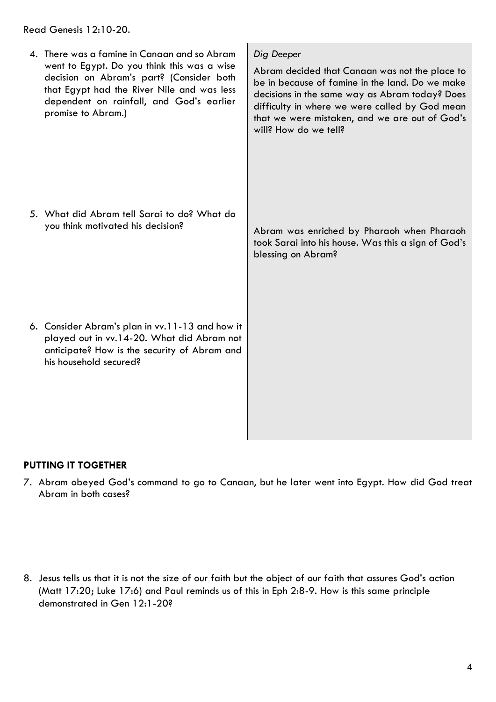Read Genesis 12:10-20.

4. There was a famine in Canaan and so Abram went to Egypt. Do you think this was a wise decision on Abram's part? (Consider both that Egypt had the River Nile and was less dependent on rainfall, and God's earlier promise to Abram.) 5. What did Abram tell Sarai to do? What do you think motivated his decision? 6. Consider Abram's plan in vv.11-13 and how it played out in vv.14-20. What did Abram not anticipate? How is the security of Abram and his household secured? *Dig Deeper* Abram decided that Canaan was not the place to be in because of famine in the land. Do we make decisions in the same way as Abram today? Does difficulty in where we were called by God mean that we were mistaken, and we are out of God's will? How do we tell? Abram was enriched by Pharaoh when Pharaoh took Sarai into his house. Was this a sign of God's blessing on Abram?

# **PUTTING IT TOGETHER**

7. Abram obeyed God's command to go to Canaan, but he later went into Egypt. How did God treat Abram in both cases?

8. Jesus tells us that it is not the size of our faith but the object of our faith that assures God's action (Matt 17:20; Luke 17:6) and Paul reminds us of this in Eph 2:8-9. How is this same principle demonstrated in Gen 12:1-20?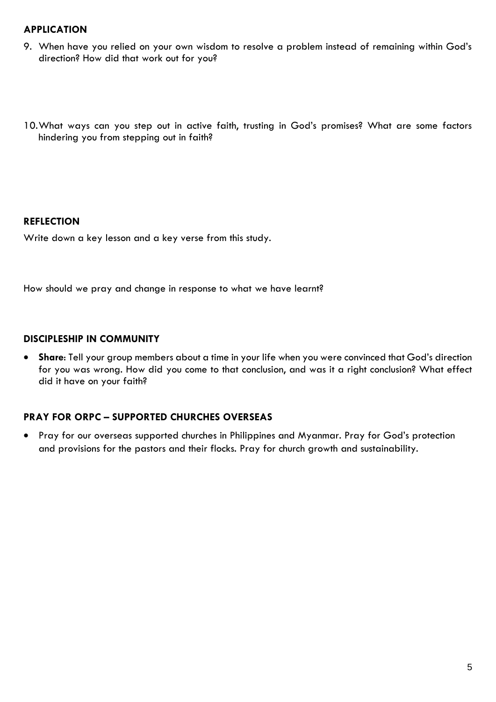#### **APPLICATION**

- 9. When have you relied on your own wisdom to resolve a problem instead of remaining within God's direction? How did that work out for you?
- 10.What ways can you step out in active faith, trusting in God's promises? What are some factors hindering you from stepping out in faith?

#### **REFLECTION**

Write down a key lesson and a key verse from this study.

How should we pray and change in response to what we have learnt?

#### **DISCIPLESHIP IN COMMUNITY**

• **Share**: Tell your group members about a time in your life when you were convinced that God's direction for you was wrong. How did you come to that conclusion, and was it a right conclusion? What effect did it have on your faith?

#### **PRAY FOR ORPC – SUPPORTED CHURCHES OVERSEAS**

• Pray for our overseas supported churches in Philippines and Myanmar. Pray for God's protection and provisions for the pastors and their flocks. Pray for church growth and sustainability.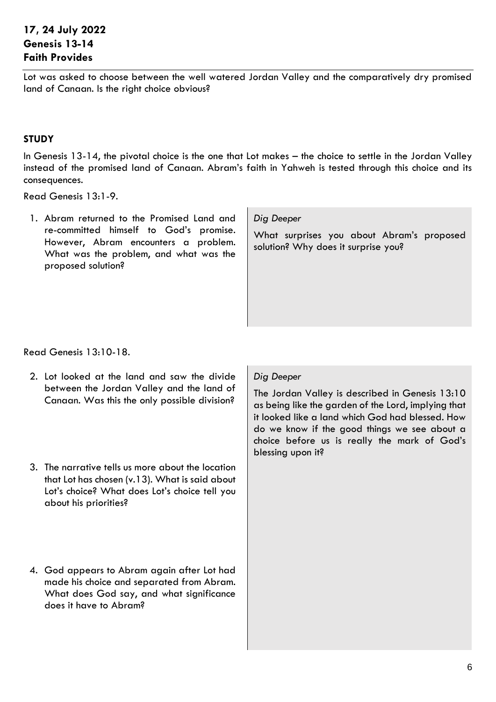## <span id="page-5-0"></span>**17, 24 July 2022 Genesis 13-14 Faith Provides**

Lot was asked to choose between the well watered Jordan Valley and the comparatively dry promised land of Canaan. Is the right choice obvious?

#### **STUDY**

In Genesis 13-14, the pivotal choice is the one that Lot makes – the choice to settle in the Jordan Valley instead of the promised land of Canaan. Abram's faith in Yahweh is tested through this choice and its consequences.

Read Genesis 13:1-9.

1. Abram returned to the Promised Land and re-committed himself to God's promise. However, Abram encounters a problem. What was the problem, and what was the proposed solution?

#### *Dig Deeper*

What surprises you about Abram's proposed solution? Why does it surprise you?

Read Genesis 13:10-18.

- 2. Lot looked at the land and saw the divide between the Jordan Valley and the land of Canaan. Was this the only possible division?
- 3. The narrative tells us more about the location that Lot has chosen (v.13). What is said about Lot's choice? What does Lot's choice tell you about his priorities?
- 4. God appears to Abram again after Lot had made his choice and separated from Abram. What does God say, and what significance does it have to Abram?

#### *Dig Deeper*

The Jordan Valley is described in Genesis 13:10 as being like the garden of the Lord, implying that it looked like a land which God had blessed. How do we know if the good things we see about a choice before us is really the mark of God's blessing upon it?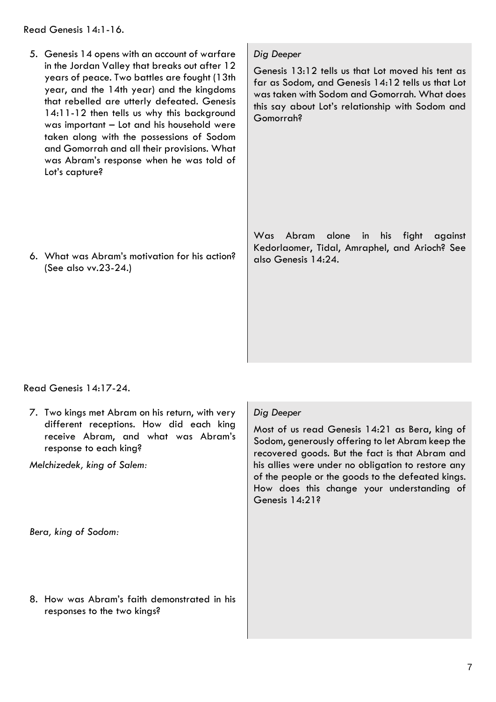Read Genesis 14:1-16.

5. Genesis 14 opens with an account of warfare in the Jordan Valley that breaks out after 12 years of peace. Two battles are fought (13th year, and the 14th year) and the kingdoms that rebelled are utterly defeated. Genesis 14:11-12 then tells us why this background was important – Lot and his household were taken along with the possessions of Sodom and Gomorrah and all their provisions. What was Abram's response when he was told of Lot's capture?

6. What was Abram's motivation for his action? (See also vv.23-24.)

*Dig Deeper*

Genesis 13:12 tells us that Lot moved his tent as far as Sodom, and Genesis 14:12 tells us that Lot was taken with Sodom and Gomorrah. What does this say about Lot's relationship with Sodom and Gomorrah?

Was Abram alone in his fight against Kedorlaomer, Tidal, Amraphel, and Arioch? See also Genesis 14:24.

Read Genesis 14:17-24.

7. Two kings met Abram on his return, with very different receptions. How did each king receive Abram, and what was Abram's response to each king?

*Melchizedek, king of Salem:*

*Bera, king of Sodom:*

8. How was Abram's faith demonstrated in his responses to the two kings?

#### *Dig Deeper*

Most of us read Genesis 14:21 as Bera, king of Sodom, generously offering to let Abram keep the recovered goods. But the fact is that Abram and his allies were under no obligation to restore any of the people or the goods to the defeated kings. How does this change your understanding of Genesis 14:21?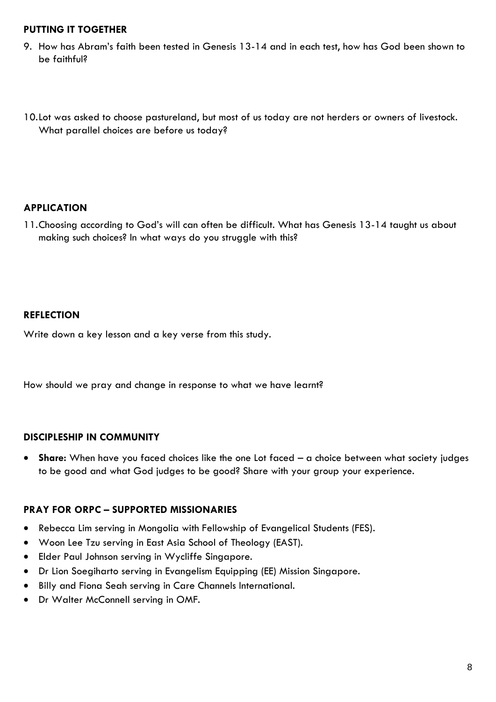#### **PUTTING IT TOGETHER**

- 9. How has Abram's faith been tested in Genesis 13-14 and in each test, how has God been shown to be faithful?
- 10.Lot was asked to choose pastureland, but most of us today are not herders or owners of livestock. What parallel choices are before us today?

#### **APPLICATION**

11.Choosing according to God's will can often be difficult. What has Genesis 13-14 taught us about making such choices? In what ways do you struggle with this?

#### **REFLECTION**

Write down a key lesson and a key verse from this study.

How should we pray and change in response to what we have learnt?

#### **DISCIPLESHIP IN COMMUNITY**

• **Share:** When have you faced choices like the one Lot faced – a choice between what society judges to be good and what God judges to be good? Share with your group your experience.

#### **PRAY FOR ORPC – SUPPORTED MISSIONARIES**

- Rebecca Lim serving in Mongolia with Fellowship of Evangelical Students (FES).
- Woon Lee Tzu serving in East Asia School of Theology (EAST).
- Elder Paul Johnson serving in Wycliffe Singapore.
- Dr Lion Soegiharto serving in Evangelism Equipping (EE) Mission Singapore.
- Billy and Fiona Seah serving in Care Channels International.
- Dr Walter McConnell serving in OMF.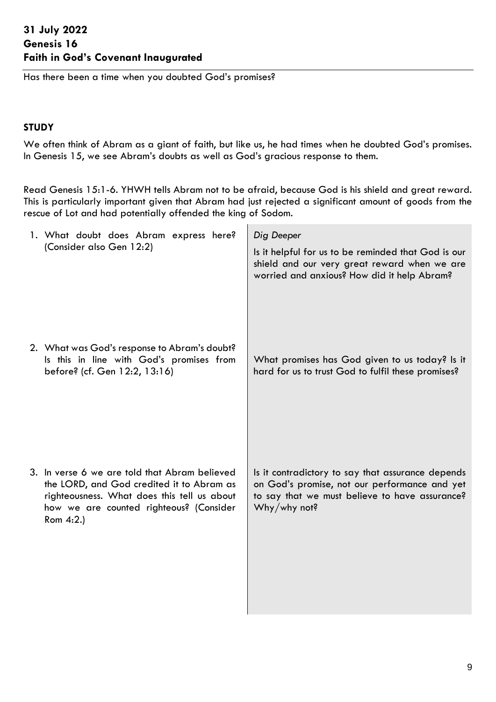<span id="page-8-0"></span>Has there been a time when you doubted God's promises?

#### **STUDY**

We often think of Abram as a giant of faith, but like us, he had times when he doubted God's promises. In Genesis 15, we see Abram's doubts as well as God's gracious response to them.

Read Genesis 15:1-6. YHWH tells Abram not to be afraid, because God is his shield and great reward. This is particularly important given that Abram had just rejected a significant amount of goods from the rescue of Lot and had potentially offended the king of Sodom.

 $\mathbf{L}$ 

| 1. What doubt does Abram express here?<br>(Consider also Gen 12:2)                                                                                                                                | Dig Deeper<br>Is it helpful for us to be reminded that God is our<br>shield and our very great reward when we are<br>worried and anxious? How did it help Abram?     |
|---------------------------------------------------------------------------------------------------------------------------------------------------------------------------------------------------|----------------------------------------------------------------------------------------------------------------------------------------------------------------------|
| 2. What was God's response to Abram's doubt?<br>Is this in line with God's promises from<br>before? (cf. Gen 12:2, 13:16)                                                                         | What promises has God given to us today? Is it<br>hard for us to trust God to fulfil these promises?                                                                 |
| 3. In verse 6 we are told that Abram believed<br>the LORD, and God credited it to Abram as<br>righteousness. What does this tell us about<br>how we are counted righteous? (Consider<br>Rom 4:2.) | Is it contradictory to say that assurance depends<br>on God's promise, not our performance and yet<br>to say that we must believe to have assurance?<br>Why/why not? |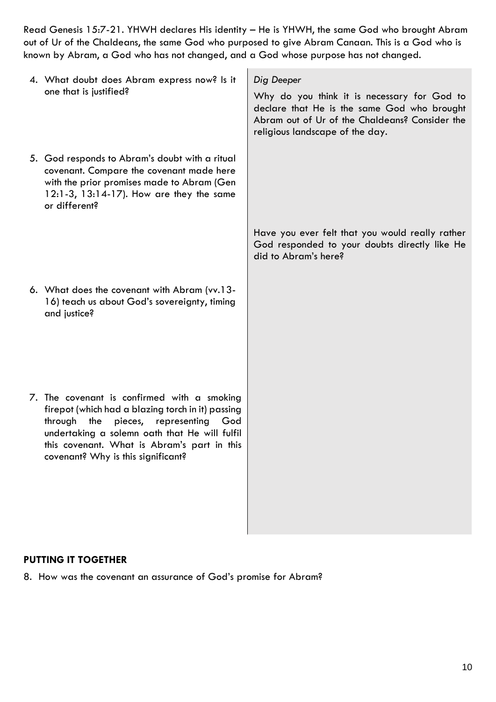Read Genesis 15:7-21. YHWH declares His identity – He is YHWH, the same God who brought Abram out of Ur of the Chaldeans, the same God who purposed to give Abram Canaan. This is a God who is known by Abram, a God who has not changed, and a God whose purpose has not changed.

| 4. What doubt does Abram express now? Is it<br>one that is justified?                                                                                                                                                                                                                   | Dig Deeper<br>Why do you think it is necessary for God to<br>declare that He is the same God who brought<br>Abram out of Ur of the Chaldeans? Consider the<br>religious landscape of the day. |
|-----------------------------------------------------------------------------------------------------------------------------------------------------------------------------------------------------------------------------------------------------------------------------------------|-----------------------------------------------------------------------------------------------------------------------------------------------------------------------------------------------|
| 5. God responds to Abram's doubt with a ritual<br>covenant. Compare the covenant made here<br>with the prior promises made to Abram (Gen<br>12:1-3, 13:14-17). How are they the same<br>or different?                                                                                   |                                                                                                                                                                                               |
|                                                                                                                                                                                                                                                                                         | Have you ever felt that you would really rather<br>God responded to your doubts directly like He<br>did to Abram's here?                                                                      |
| 6. What does the covenant with Abram (vv.13-<br>16) teach us about God's sovereignty, timing<br>and justice?                                                                                                                                                                            |                                                                                                                                                                                               |
| 7. The covenant is confirmed with a smoking<br>firepot (which had a blazing torch in it) passing<br>through the<br>pieces,<br>representing<br>God<br>undertaking a solemn oath that He will fulfil<br>this covenant. What is Abram's part in this<br>covenant? Why is this significant? |                                                                                                                                                                                               |

#### **PUTTING IT TOGETHER**

8. How was the covenant an assurance of God's promise for Abram?